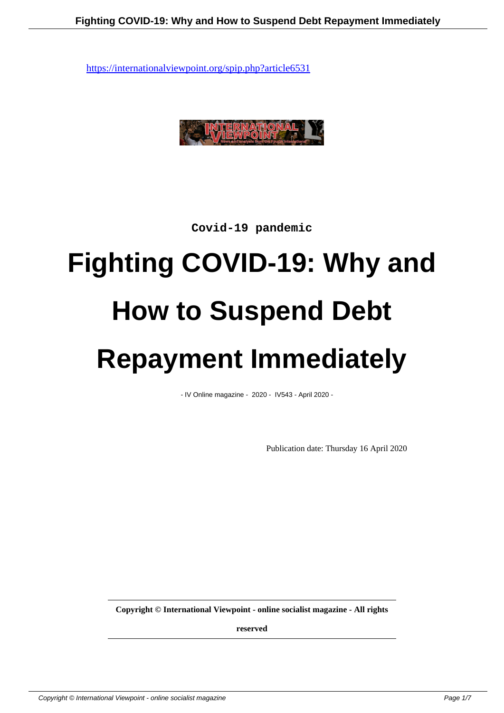

**Covid-19 pandemic**

## **Fighting COVID-19: Why and How to Suspend Debt Repayment Immediately**

- IV Online magazine - 2020 - IV543 - April 2020 -

Publication date: Thursday 16 April 2020

**Copyright © International Viewpoint - online socialist magazine - All rights**

**reserved**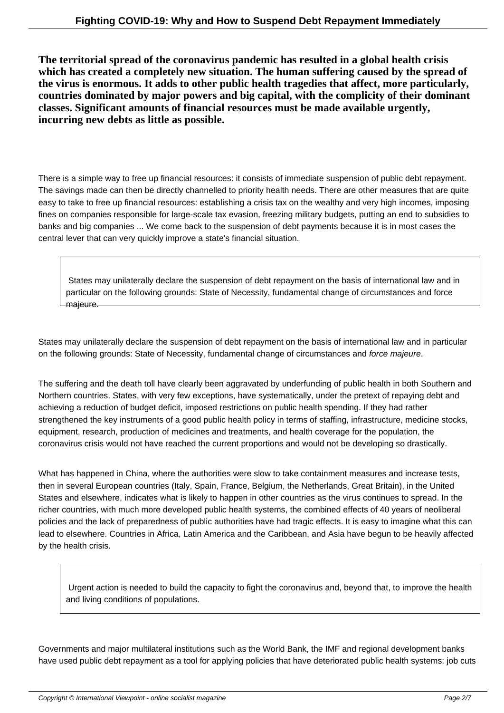**The territorial spread of the coronavirus pandemic has resulted in a global health crisis which has created a completely new situation. The human suffering caused by the spread of the virus is enormous. It adds to other public health tragedies that affect, more particularly, countries dominated by major powers and big capital, with the complicity of their dominant classes. Significant amounts of financial resources must be made available urgently, incurring new debts as little as possible.**

There is a simple way to free up financial resources: it consists of immediate suspension of public debt repayment. The savings made can then be directly channelled to priority health needs. There are other measures that are quite easy to take to free up financial resources: establishing a crisis tax on the wealthy and very high incomes, imposing fines on companies responsible for large-scale tax evasion, freezing military budgets, putting an end to subsidies to banks and big companies ... We come back to the suspension of debt payments because it is in most cases the central lever that can very quickly improve a state's financial situation.

 States may unilaterally declare the suspension of debt repayment on the basis of international law and in particular on the following grounds: State of Necessity, fundamental change of circumstances and force majeure.

States may unilaterally declare the suspension of debt repayment on the basis of international law and in particular on the following grounds: State of Necessity, fundamental change of circumstances and force majeure.

The suffering and the death toll have clearly been aggravated by underfunding of public health in both Southern and Northern countries. States, with very few exceptions, have systematically, under the pretext of repaying debt and achieving a reduction of budget deficit, imposed restrictions on public health spending. If they had rather strengthened the key instruments of a good public health policy in terms of staffing, infrastructure, medicine stocks, equipment, research, production of medicines and treatments, and health coverage for the population, the coronavirus crisis would not have reached the current proportions and would not be developing so drastically.

What has happened in China, where the authorities were slow to take containment measures and increase tests, then in several European countries (Italy, Spain, France, Belgium, the Netherlands, Great Britain), in the United States and elsewhere, indicates what is likely to happen in other countries as the virus continues to spread. In the richer countries, with much more developed public health systems, the combined effects of 40 years of neoliberal policies and the lack of preparedness of public authorities have had tragic effects. It is easy to imagine what this can lead to elsewhere. Countries in Africa, Latin America and the Caribbean, and Asia have begun to be heavily affected by the health crisis.

 Urgent action is needed to build the capacity to fight the coronavirus and, beyond that, to improve the health and living conditions of populations.

Governments and major multilateral institutions such as the World Bank, the IMF and regional development banks have used public debt repayment as a tool for applying policies that have deteriorated public health systems: job cuts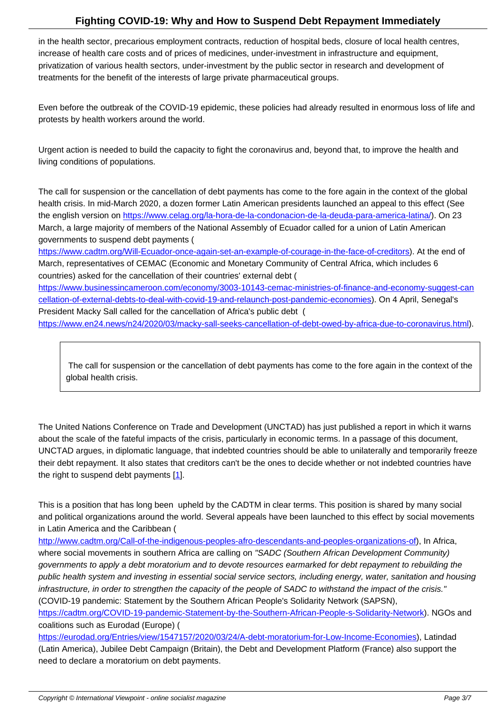in the health sector, precarious employment contracts, reduction of hospital beds, closure of local health centres, increase of health care costs and of prices of medicines, under-investment in infrastructure and equipment, privatization of various health sectors, under-investment by the public sector in research and development of treatments for the benefit of the interests of large private pharmaceutical groups.

Even before the outbreak of the COVID-19 epidemic, these policies had already resulted in enormous loss of life and protests by health workers around the world.

Urgent action is needed to build the capacity to fight the coronavirus and, beyond that, to improve the health and living conditions of populations.

The call for suspension or the cancellation of debt payments has come to the fore again in the context of the global health crisis. In mid-March 2020, a dozen former Latin American presidents launched an appeal to this effect (See the english version on https://www.celag.org/la-hora-de-la-condonacion-de-la-deuda-para-america-latina/). On 23 March, a large majority of members of the National Assembly of Ecuador called for a union of Latin American governments to suspend debt payments (

https://www.cadtm.org/Will-Ecuador-once-again-set-an-example-of-courage-in-the-face-of-creditors). At the end of March, representative[s of CEMAC \(Economic and Monetary Community of Central Africa, which includes](https://www.celag.org/la-hora-de-la-condonacion-de-la-deuda-para-america-latina/) 6 countries) asked for the cancellation of their countries' external debt (

https://www.businessincameroon.com/economy/3003-10143-cemac-ministries-of-finance-and-economy-suggest-can [cellation-of-external-debts-to-deal-with-covid-19-and-relaunch-post-pandemic-economies\). On 4 Ap](https://internationalviewpoint.org/spip.php?article18256)ril, Senegal's President Macky Sall called for the cancellation of Africa's public debt (

[https://www.en24.news/n24/2020/03/macky-sall-seeks-cancellation-of-debt-owed-by-africa-due-to-coronavirus.html\).](https://www.businessincameroon.com/economy/3003-10143-cemac-ministries-of-finance-and-economy-suggest-cancellation-of-external-debts-to-deal-with-covid-19-and-relaunch-post-pandemic-economies)

 [The call for suspension or the cancellation of debt payments has come to the fore again in the context of the](https://www.en24.news/n24/2020/03/macky-sall-seeks-cancellation-of-debt-owed-by-africa-due-to-coronavirus.html) global health crisis.

The United Nations Conference on Trade and Development (UNCTAD) has just published a report in which it warns about the scale of the fateful impacts of the crisis, particularly in economic terms. In a passage of this document, UNCTAD argues, in diplomatic language, that indebted countries should be able to unilaterally and temporarily freeze their debt repayment. It also states that creditors can't be the ones to decide whether or not indebted countries have the right to suspend debt payments  $[1]$ .

This is a position that has long been upheld by the CADTM in clear terms. This position is shared by many social and political organizations around th[e](#nb1) world. Several appeals have been launched to this effect by social movements in Latin America and the Caribbean (

http://www.cadtm.org/Call-of-the-indigenous-peoples-afro-descendants-and-peoples-organizations-of), In Africa, where social movements in southern Africa are calling on "SADC (Southern African Development Community) governments to apply a debt moratorium and to devote resources earmarked for debt repayment to rebuilding the public health system and investing in essential social service sectors, including energy, water, sanitation and housing [infrastructure, in order to strengthen the capacity of the people of SADC to withstand the impact of the](https://internationalviewpoint.org/spip.php?article18328) crisis." (COVID-19 pandemic: Statement by the Southern African People's Solidarity Network (SAPSN),

https://cadtm.org/COVID-19-pandemic-Statement-by-the-Southern-African-People-s-Solidarity-Network). NGOs and coalitions such as Eurodad (Europe) (

https://eurodad.org/Entries/view/1547157/2020/03/24/A-debt-moratorium-for-Low-Income-Economies), Latindad [\(Latin America\), Jubilee Debt Campaign \(Britain\), the Debt and Development Platform \(France\) also sup](https://cadtm.org/COVID-19-pandemic-Statement-by-the-Southern-African-People-s-Solidarity-Network)port the need to declare a moratorium on debt payments.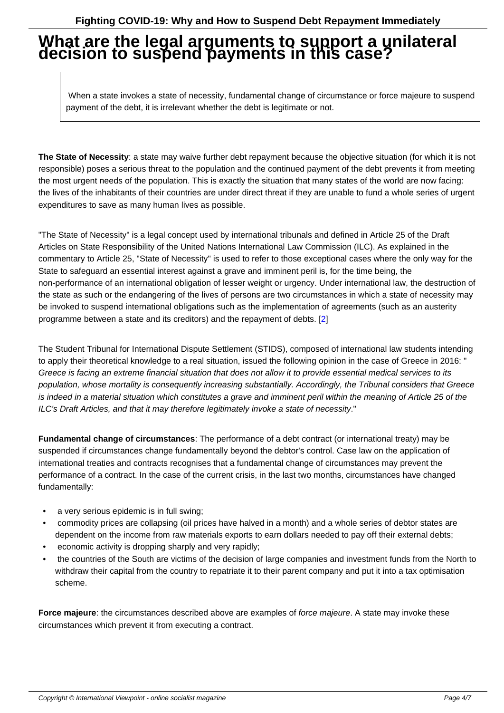## **What are the legal arguments to support a unilateral decision to suspend payments in this case?**

 When a state invokes a state of necessity, fundamental change of circumstance or force majeure to suspend payment of the debt, it is irrelevant whether the debt is legitimate or not.

**The State of Necessity**: a state may waive further debt repayment because the objective situation (for which it is not responsible) poses a serious threat to the population and the continued payment of the debt prevents it from meeting the most urgent needs of the population. This is exactly the situation that many states of the world are now facing: the lives of the inhabitants of their countries are under direct threat if they are unable to fund a whole series of urgent expenditures to save as many human lives as possible.

"The State of Necessity" is a legal concept used by international tribunals and defined in Article 25 of the Draft Articles on State Responsibility of the United Nations International Law Commission (ILC). As explained in the commentary to Article 25, "State of Necessity" is used to refer to those exceptional cases where the only way for the State to safeguard an essential interest against a grave and imminent peril is, for the time being, the non-performance of an international obligation of lesser weight or urgency. Under international law, the destruction of the state as such or the endangering of the lives of persons are two circumstances in which a state of necessity may be invoked to suspend international obligations such as the implementation of agreements (such as an austerity programme between a state and its creditors) and the repayment of debts. [2]

The Student Tribunal for International Dispute Settlement (STIDS), composed of international law students intending to apply their theoretical knowledge to a real situation, issued the following [op](#nb2)inion in the case of Greece in 2016: " Greece is facing an extreme financial situation that does not allow it to provide essential medical services to its population, whose mortality is consequently increasing substantially. Accordingly, the Tribunal considers that Greece is indeed in a material situation which constitutes a grave and imminent peril within the meaning of Article 25 of the ILC's Draft Articles, and that it may therefore legitimately invoke a state of necessity."

**Fundamental change of circumstances**: The performance of a debt contract (or international treaty) may be suspended if circumstances change fundamentally beyond the debtor's control. Case law on the application of international treaties and contracts recognises that a fundamental change of circumstances may prevent the performance of a contract. In the case of the current crisis, in the last two months, circumstances have changed fundamentally:

- a very serious epidemic is in full swing;
- commodity prices are collapsing (oil prices have halved in a month) and a whole series of debtor states are dependent on the income from raw materials exports to earn dollars needed to pay off their external debts;
- economic activity is dropping sharply and very rapidly;
- the countries of the South are victims of the decision of large companies and investment funds from the North to withdraw their capital from the country to repatriate it to their parent company and put it into a tax optimisation scheme.

**Force majeure**: the circumstances described above are examples of force majeure. A state may invoke these circumstances which prevent it from executing a contract.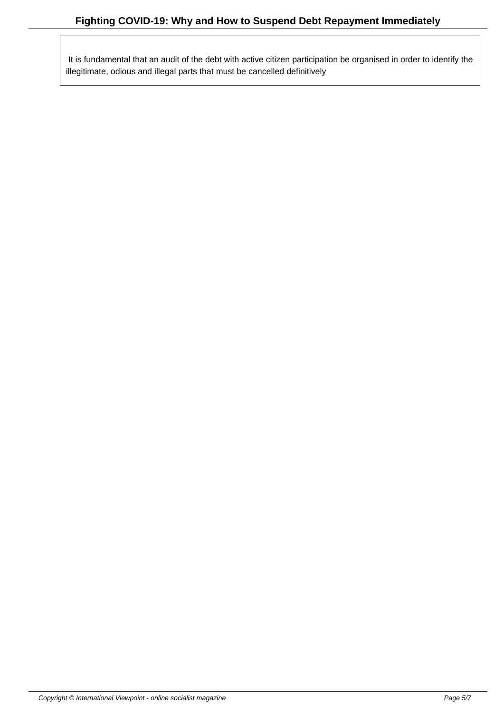It is fundamental that an audit of the debt with active citizen participation be organised in order to identify the illegitimate, odious and illegal parts that must be cancelled definitively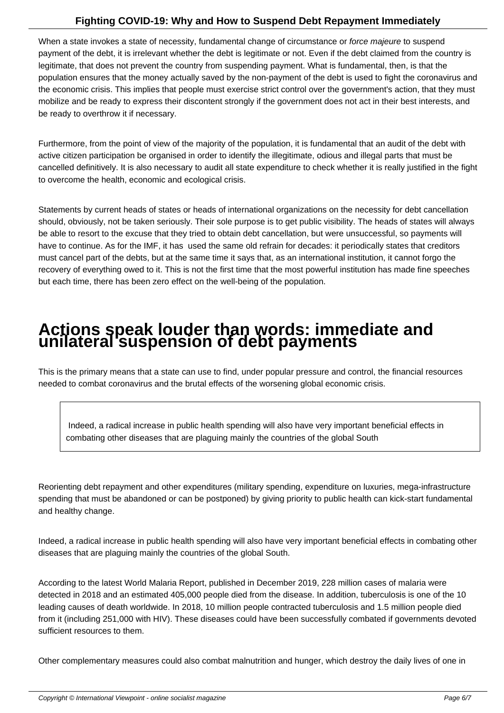When a state invokes a state of necessity, fundamental change of circumstance or force majeure to suspend payment of the debt, it is irrelevant whether the debt is legitimate or not. Even if the debt claimed from the country is legitimate, that does not prevent the country from suspending payment. What is fundamental, then, is that the population ensures that the money actually saved by the non-payment of the debt is used to fight the coronavirus and the economic crisis. This implies that people must exercise strict control over the government's action, that they must mobilize and be ready to express their discontent strongly if the government does not act in their best interests, and be ready to overthrow it if necessary.

Furthermore, from the point of view of the majority of the population, it is fundamental that an audit of the debt with active citizen participation be organised in order to identify the illegitimate, odious and illegal parts that must be cancelled definitively. It is also necessary to audit all state expenditure to check whether it is really justified in the fight to overcome the health, economic and ecological crisis.

Statements by current heads of states or heads of international organizations on the necessity for debt cancellation should, obviously, not be taken seriously. Their sole purpose is to get public visibility. The heads of states will always be able to resort to the excuse that they tried to obtain debt cancellation, but were unsuccessful, so payments will have to continue. As for the IMF, it has used the same old refrain for decades: it periodically states that creditors must cancel part of the debts, but at the same time it says that, as an international institution, it cannot forgo the recovery of everything owed to it. This is not the first time that the most powerful institution has made fine speeches but each time, there has been zero effect on the well-being of the population.

## **Actions speak louder than words: immediate and unilateral suspension of debt payments**

This is the primary means that a state can use to find, under popular pressure and control, the financial resources needed to combat coronavirus and the brutal effects of the worsening global economic crisis.

 Indeed, a radical increase in public health spending will also have very important beneficial effects in combating other diseases that are plaguing mainly the countries of the global South

Reorienting debt repayment and other expenditures (military spending, expenditure on luxuries, mega-infrastructure spending that must be abandoned or can be postponed) by giving priority to public health can kick-start fundamental and healthy change.

Indeed, a radical increase in public health spending will also have very important beneficial effects in combating other diseases that are plaguing mainly the countries of the global South.

According to the latest World Malaria Report, published in December 2019, 228 million cases of malaria were detected in 2018 and an estimated 405,000 people died from the disease. In addition, tuberculosis is one of the 10 leading causes of death worldwide. In 2018, 10 million people contracted tuberculosis and 1.5 million people died from it (including 251,000 with HIV). These diseases could have been successfully combated if governments devoted sufficient resources to them.

Other complementary measures could also combat malnutrition and hunger, which destroy the daily lives of one in